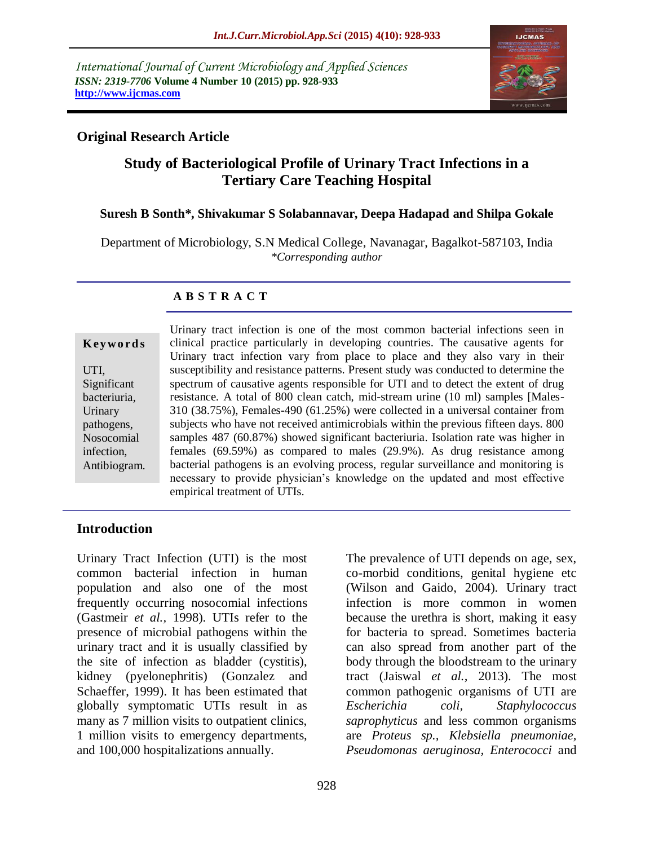*International Journal of Current Microbiology and Applied Sciences ISSN: 2319-7706* **Volume 4 Number 10 (2015) pp. 928-933 http://www.ijcmas.com** 



# **Original Research Article**

# **Study of Bacteriological Profile of Urinary Tract Infections in a Tertiary Care Teaching Hospital**

#### **Suresh B Sonth\*, Shivakumar S Solabannavar, Deepa Hadapad and Shilpa Gokale**

Department of Microbiology, S.N Medical College, Navanagar, Bagalkot-587103, India *\*Corresponding author*

#### **A B S T R A C T**

### **K ey w o rd s**

UTI, Significant bacteriuria, Urinary pathogens, Nosocomial infection, Antibiogram.

Urinary tract infection is one of the most common bacterial infections seen in clinical practice particularly in developing countries. The causative agents for Urinary tract infection vary from place to place and they also vary in their susceptibility and resistance patterns. Present study was conducted to determine the spectrum of causative agents responsible for UTI and to detect the extent of drug resistance. A total of 800 clean catch, mid-stream urine (10 ml) samples [Males-310 (38.75%), Females-490 (61.25%) were collected in a universal container from subjects who have not received antimicrobials within the previous fifteen days. 800 samples 487 (60.87%) showed significant bacteriuria. Isolation rate was higher in females (69.59%) as compared to males (29.9%). As drug resistance among bacterial pathogens is an evolving process, regular surveillance and monitoring is necessary to provide physician's knowledge on the updated and most effective empirical treatment of UTIs.

### **Introduction**

Urinary Tract Infection (UTI) is the most common bacterial infection in human population and also one of the most frequently occurring nosocomial infections (Gastmeir *et al.,* 1998). UTIs refer to the presence of microbial pathogens within the urinary tract and it is usually classified by the site of infection as bladder (cystitis), kidney (pyelonephritis) (Gonzalez and Schaeffer, 1999). It has been estimated that globally symptomatic UTIs result in as many as 7 million visits to outpatient clinics, 1 million visits to emergency departments, and 100,000 hospitalizations annually.

The prevalence of UTI depends on age, sex, co-morbid conditions, genital hygiene etc (Wilson and Gaido, 2004). Urinary tract infection is more common in women because the urethra is short, making it easy for bacteria to spread. Sometimes bacteria can also spread from another part of the body through the bloodstream to the urinary tract (Jaiswal *et al.,* 2013). The most common pathogenic organisms of UTI are *Escherichia coli, Staphylococcus saprophyticus* and less common organisms are *Proteus sp., Klebsiella pneumoniae, Pseudomonas aeruginosa, Enterococci* and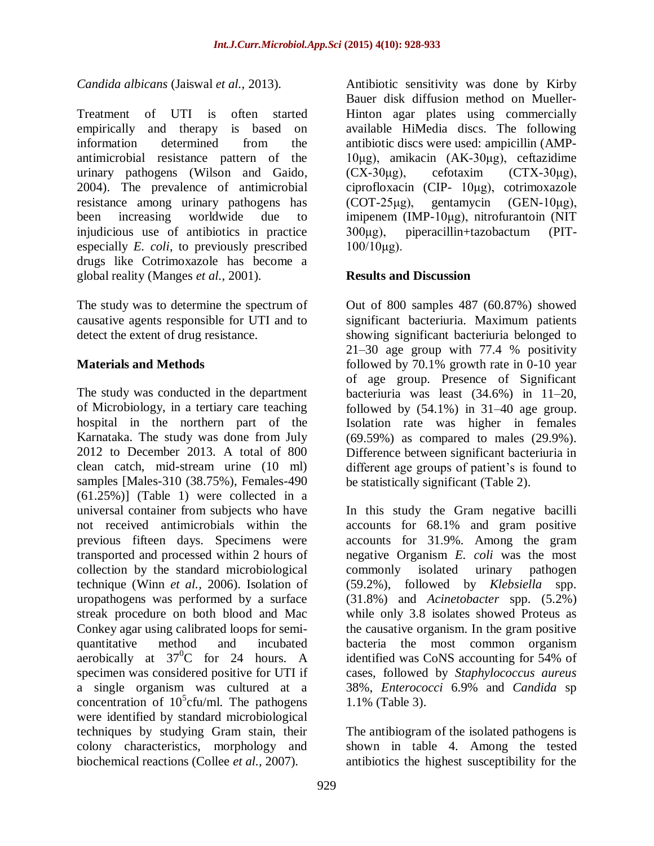### *Candida albicans* (Jaiswal *et al.,* 2013).

Treatment of UTI is often started empirically and therapy is based on information determined from the antimicrobial resistance pattern of the urinary pathogens (Wilson and Gaido, 2004). The prevalence of antimicrobial resistance among urinary pathogens has been increasing worldwide due to injudicious use of antibiotics in practice especially *E. coli*, to previously prescribed drugs like Cotrimoxazole has become a global reality (Manges *et al.,* 2001).

The study was to determine the spectrum of causative agents responsible for UTI and to detect the extent of drug resistance.

## **Materials and Methods**

The study was conducted in the department of Microbiology, in a tertiary care teaching hospital in the northern part of the Karnataka. The study was done from July 2012 to December 2013. A total of 800 clean catch, mid-stream urine (10 ml) samples [Males-310 (38.75%), Females-490 (61.25%)] (Table 1) were collected in a universal container from subjects who have not received antimicrobials within the previous fifteen days. Specimens were transported and processed within 2 hours of collection by the standard microbiological technique (Winn *et al.,* 2006). Isolation of uropathogens was performed by a surface streak procedure on both blood and Mac Conkey agar using calibrated loops for semiquantitative method and incubated aerobically at  $37^0C$  for 24 hours. A specimen was considered positive for UTI if a single organism was cultured at a concentration of  $10^5$ cfu/ml. The pathogens were identified by standard microbiological techniques by studying Gram stain, their colony characteristics, morphology and biochemical reactions (Collee *et al.,* 2007).

Antibiotic sensitivity was done by Kirby Bauer disk diffusion method on Mueller-Hinton agar plates using commercially available HiMedia discs. The following antibiotic discs were used: ampicillin (AMP-10μg), amikacin (AK-30μg), ceftazidime  $(CX-30\mu g)$ , cefotaxim  $(CTX-30\mu g)$ , ciprofloxacin (CIP- 10μg), cotrimoxazole (COT-25μg), gentamycin (GEN-10μg), imipenem (IMP-10μg), nitrofurantoin (NIT 300μg), piperacillin+tazobactum (PIT- $100/10\mu$ g).

## **Results and Discussion**

Out of 800 samples 487 (60.87%) showed significant bacteriuria. Maximum patients showing significant bacteriuria belonged to 21–30 age group with 77.4 % positivity followed by 70.1% growth rate in 0-10 year of age group. Presence of Significant bacteriuria was least (34.6%) in 11–20, followed by  $(54.1\%)$  in 31–40 age group. Isolation rate was higher in females (69.59%) as compared to males (29.9%). Difference between significant bacteriuria in different age groups of patient's is found to be statistically significant (Table 2).

In this study the Gram negative bacilli accounts for 68.1% and gram positive accounts for 31.9%. Among the gram negative Organism *E. coli* was the most commonly isolated urinary pathogen (59.2%), followed by *Klebsiella* spp. (31.8%) and *Acinetobacter* spp. (5.2%) while only 3.8 isolates showed Proteus as the causative organism. In the gram positive bacteria the most common organism identified was CoNS accounting for 54% of cases, followed by *Staphylococcus aureus*  38%, *Enterococci* 6.9% and *Candida* sp 1.1% (Table 3).

The antibiogram of the isolated pathogens is shown in table 4. Among the tested antibiotics the highest susceptibility for the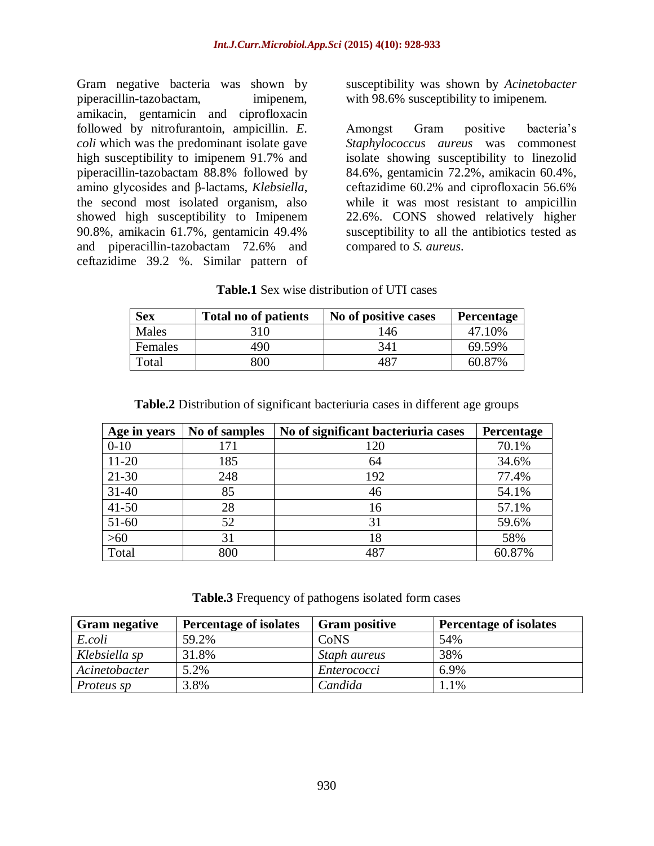Gram negative bacteria was shown by piperacillin-tazobactam, imipenem, amikacin, gentamicin and ciprofloxacin followed by nitrofurantoin, ampicillin. *E. coli* which was the predominant isolate gave high susceptibility to imipenem 91.7% and piperacillin-tazobactam 88.8% followed by amino glycosides and β-lactams, *Klebsiella*, the second most isolated organism, also showed high susceptibility to Imipenem 90.8%, amikacin 61.7%, gentamicin 49.4% and piperacillin-tazobactam 72.6% and ceftazidime 39.2 %. Similar pattern of

susceptibility was shown by *Acinetobacter* with 98.6% susceptibility to imipenem.

Amongst Gram positive bacteria's *Staphylococcus aureus* was commonest isolate showing susceptibility to linezolid 84.6%, gentamicin 72.2%, amikacin 60.4%, ceftazidime 60.2% and ciprofloxacin 56.6% while it was most resistant to ampicillin 22.6%. CONS showed relatively higher susceptibility to all the antibiotics tested as compared to *S. aureus*.

#### **Table.1** Sex wise distribution of UTI cases

| <b>Sex</b> | <b>Total no of patients</b> | No of positive cases | Percentage |  |
|------------|-----------------------------|----------------------|------------|--|
| Males      | 310.                        | 146                  | 47.10%     |  |
| Females    | 490                         | 341                  | 69.59%     |  |
| Total      | 800                         | 487                  | 60.87%     |  |

| Age in years | No of samples | No of significant bacteriuria cases | <b>Percentage</b> |
|--------------|---------------|-------------------------------------|-------------------|
| $0 - 10$     | 171           | 120                                 | 70.1%             |
| $11 - 20$    | 185           | 64                                  | 34.6%             |
| $21 - 30$    | 248           | 192                                 | 77.4%             |
| $31 - 40$    | 85            | 46                                  | 54.1%             |
| $41 - 50$    | 28            | 16                                  | 57.1%             |
| $51 - 60$    | 52            | 31                                  | 59.6%             |
| $>60$        | 31            | 18                                  | 58%               |
| Total        | 800           | 487                                 | 60.87%            |

**Table.2** Distribution of significant bacteriuria cases in different age groups

**Table.3** Frequency of pathogens isolated form cases

| <b>Gram negative</b> | <b>Percentage of isolates</b> | <b>Gram positive</b> | <b>Percentage of isolates</b> |
|----------------------|-------------------------------|----------------------|-------------------------------|
| E.coli               | 59.2%                         | CoNS                 | 54%                           |
| Klebsiella sp        | 31.8%                         | Staph aureus         | 38%                           |
| Acinetobacter        | 5.2%                          | Enterococci          | 6.9%                          |
| <i>Proteus sp</i>    | 3.8%                          | Candida              | $.1\%$                        |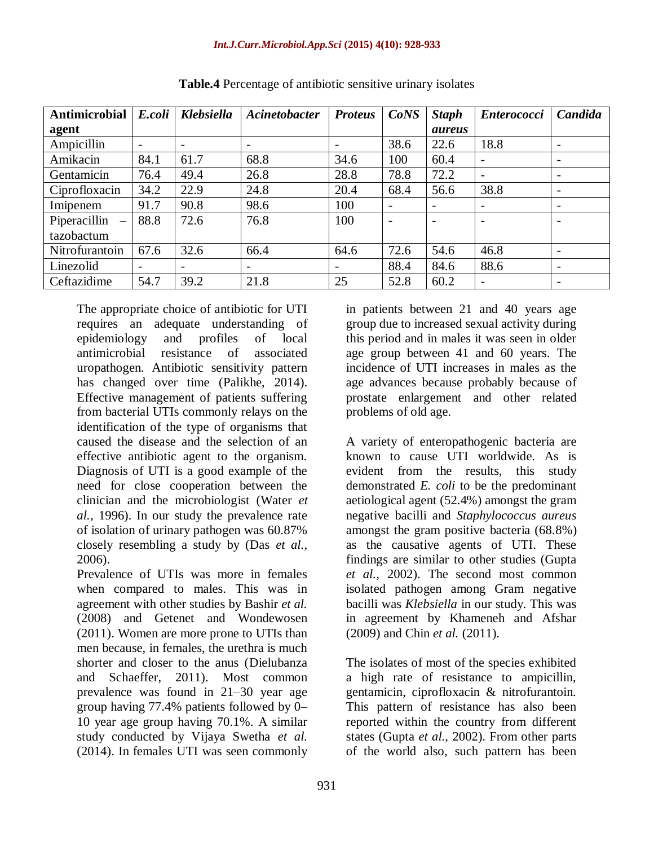| <b>Antimicrobial</b>                     | E.coli                   | <b>Klebsiella</b>        | Acinetobacter            | <b>Proteus</b>           | CoNS | <b>Staph</b>             | <b>Enterococci</b>       | Candida                  |
|------------------------------------------|--------------------------|--------------------------|--------------------------|--------------------------|------|--------------------------|--------------------------|--------------------------|
| agent                                    |                          |                          |                          |                          |      | <i>aureus</i>            |                          |                          |
| Ampicillin                               | $\overline{\phantom{0}}$ | $\overline{\phantom{a}}$ |                          |                          | 38.6 | 22.6                     | 18.8                     | $\overline{\phantom{a}}$ |
| Amikacin                                 | 84.1                     | 61.7                     | 68.8                     | 34.6                     | 100  | 60.4                     | $\overline{\phantom{a}}$ | $\overline{\phantom{a}}$ |
| Gentamicin                               | 76.4                     | 49.4                     | 26.8                     | 28.8                     | 78.8 | 72.2                     |                          | $\overline{\phantom{a}}$ |
| Ciprofloxacin                            | 34.2                     | 22.9                     | 24.8                     | 20.4                     | 68.4 | 56.6                     | 38.8                     |                          |
| Imipenem                                 | 91.7                     | 90.8                     | 98.6                     | 100                      |      | $\overline{\phantom{a}}$ | $\overline{\phantom{a}}$ |                          |
| Piperacillin<br>$\overline{\phantom{m}}$ | 88.8                     | 72.6                     | 76.8                     | 100                      |      |                          |                          |                          |
| tazobactum                               |                          |                          |                          |                          |      |                          |                          |                          |
| Nitrofurantoin                           | 67.6                     | 32.6                     | 66.4                     | 64.6                     | 72.6 | 54.6                     | 46.8                     |                          |
| Linezolid                                | $\overline{\phantom{0}}$ | $\overline{\phantom{a}}$ | $\overline{\phantom{0}}$ | $\overline{\phantom{0}}$ | 88.4 | 84.6                     | 88.6                     | $\overline{\phantom{a}}$ |
| Ceftazidime                              | 54.7                     | 39.2                     | 21.8                     | 25                       | 52.8 | 60.2                     |                          |                          |

**Table.4** Percentage of antibiotic sensitive urinary isolates

The appropriate choice of antibiotic for UTI requires an adequate understanding of epidemiology and profiles of local antimicrobial resistance of associated uropathogen. Antibiotic sensitivity pattern has changed over time (Palikhe, 2014). Effective management of patients suffering from bacterial UTIs commonly relays on the identification of the type of organisms that caused the disease and the selection of an effective antibiotic agent to the organism. Diagnosis of UTI is a good example of the need for close cooperation between the clinician and the microbiologist (Water *et al.,* 1996). In our study the prevalence rate of isolation of urinary pathogen was 60.87% closely resembling a study by (Das *et al.,* 2006).

Prevalence of UTIs was more in females when compared to males. This was in agreement with other studies by Bashir *et al.*  (2008) and Getenet and Wondewosen (2011). Women are more prone to UTIs than men because, in females, the urethra is much shorter and closer to the anus (Dielubanza and Schaeffer, 2011). Most common prevalence was found in 21–30 year age group having 77.4% patients followed by 0– 10 year age group having 70.1%. A similar study conducted by Vijaya Swetha *et al.*  (2014). In females UTI was seen commonly

in patients between 21 and 40 years age group due to increased sexual activity during this period and in males it was seen in older age group between 41 and 60 years. The incidence of UTI increases in males as the age advances because probably because of prostate enlargement and other related problems of old age.

A variety of enteropathogenic bacteria are known to cause UTI worldwide. As is evident from the results, this study demonstrated *E. coli* to be the predominant aetiological agent (52.4%) amongst the gram negative bacilli and *Staphylococcus aureus*  amongst the gram positive bacteria (68.8%) as the causative agents of UTI. These findings are similar to other studies (Gupta *et al.,* 2002). The second most common isolated pathogen among Gram negative bacilli was *Klebsiella* in our study. This was in agreement by Khameneh and Afshar (2009) and Chin *et al.* (2011).

The isolates of most of the species exhibited a high rate of resistance to ampicillin, gentamicin, ciprofloxacin & nitrofurantoin. This pattern of resistance has also been reported within the country from different states (Gupta *et al.,* 2002). From other parts of the world also, such pattern has been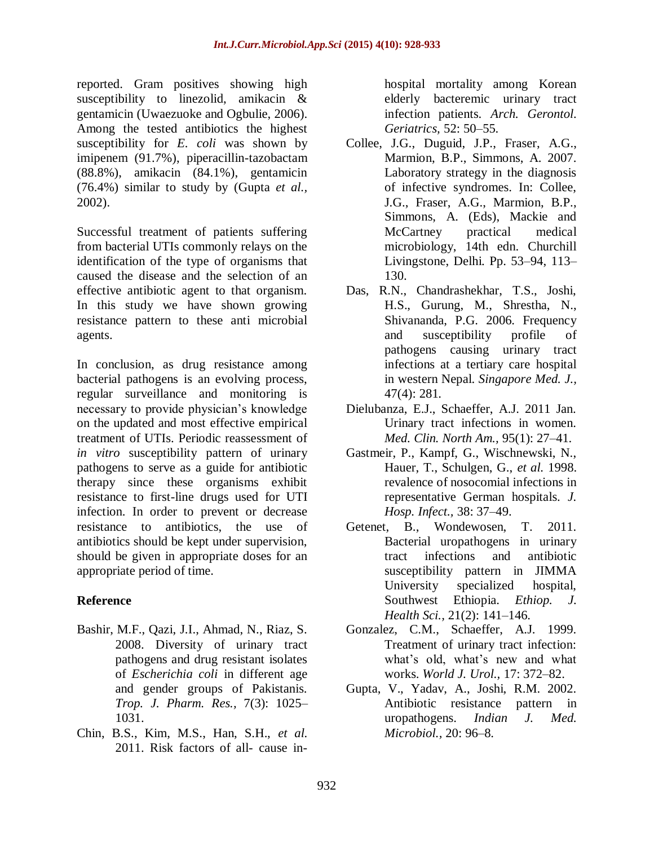reported. Gram positives showing high susceptibility to linezolid, amikacin & gentamicin (Uwaezuoke and Ogbulie, 2006). Among the tested antibiotics the highest susceptibility for *E. coli* was shown by imipenem (91.7%), piperacillin-tazobactam (88.8%), amikacin (84.1%), gentamicin (76.4%) similar to study by (Gupta *et al.,* 2002).

Successful treatment of patients suffering from bacterial UTIs commonly relays on the identification of the type of organisms that caused the disease and the selection of an effective antibiotic agent to that organism. In this study we have shown growing resistance pattern to these anti microbial agents.

In conclusion, as drug resistance among bacterial pathogens is an evolving process, regular surveillance and monitoring is necessary to provide physician's knowledge on the updated and most effective empirical treatment of UTIs. Periodic reassessment of *in vitro* susceptibility pattern of urinary pathogens to serve as a guide for antibiotic therapy since these organisms exhibit resistance to first-line drugs used for UTI infection. In order to prevent or decrease resistance to antibiotics, the use of antibiotics should be kept under supervision, should be given in appropriate doses for an appropriate period of time.

# **Reference**

- Bashir, M.F., Qazi, J.I., Ahmad, N., Riaz, S. 2008. Diversity of urinary tract pathogens and drug resistant isolates of *Escherichia coli* in different age and gender groups of Pakistanis. *Trop. J. Pharm. Res.,* 7(3): 1025– 1031.
- Chin, B.S., Kim, M.S., Han, S.H., *et al.*  2011. Risk factors of all- cause in-

hospital mortality among Korean elderly bacteremic urinary tract infection patients. *Arch. Gerontol. Geriatrics,* 52: 50–55.

- Collee, J.G., Duguid, J.P., Fraser, A.G., Marmion, B.P., Simmons, A. 2007. Laboratory strategy in the diagnosis of infective syndromes. In: Collee, J.G., Fraser, A.G., Marmion, B.P., Simmons, A. (Eds), Mackie and McCartney practical medical microbiology, 14th edn. Churchill Livingstone, Delhi. Pp. 53–94, 113– 130.
- Das, R.N., Chandrashekhar, T.S., Joshi, H.S., Gurung, M., Shrestha, N., Shivananda, P.G. 2006. Frequency and susceptibility profile of pathogens causing urinary tract infections at a tertiary care hospital in western Nepal. *Singapore Med. J.,*  47(4): 281.
- Dielubanza, E.J., Schaeffer, A.J. 2011 Jan. Urinary tract infections in women. *Med. Clin. North Am.,* 95(1): 27–41.
- Gastmeir, P., Kampf, G., Wischnewski, N., Hauer, T., Schulgen, G., *et al.* 1998. revalence of nosocomial infections in representative German hospitals. *J. Hosp. Infect.,* 38: 37–49.
- Getenet, B., Wondewosen, T. 2011. Bacterial uropathogens in urinary tract infections and antibiotic susceptibility pattern in JIMMA University specialized hospital, Southwest Ethiopia. *Ethiop. J. Health Sci.,* 21(2): 141–146.
- Gonzalez, C.M., Schaeffer, A.J. 1999. Treatment of urinary tract infection: what's old, what's new and what works. *World J. Urol.,* 17: 372–82.
- Gupta, V., Yadav, A., Joshi, R.M. 2002. Antibiotic resistance pattern in uropathogens. *Indian J. Med. Microbiol.,* 20: 96–8.